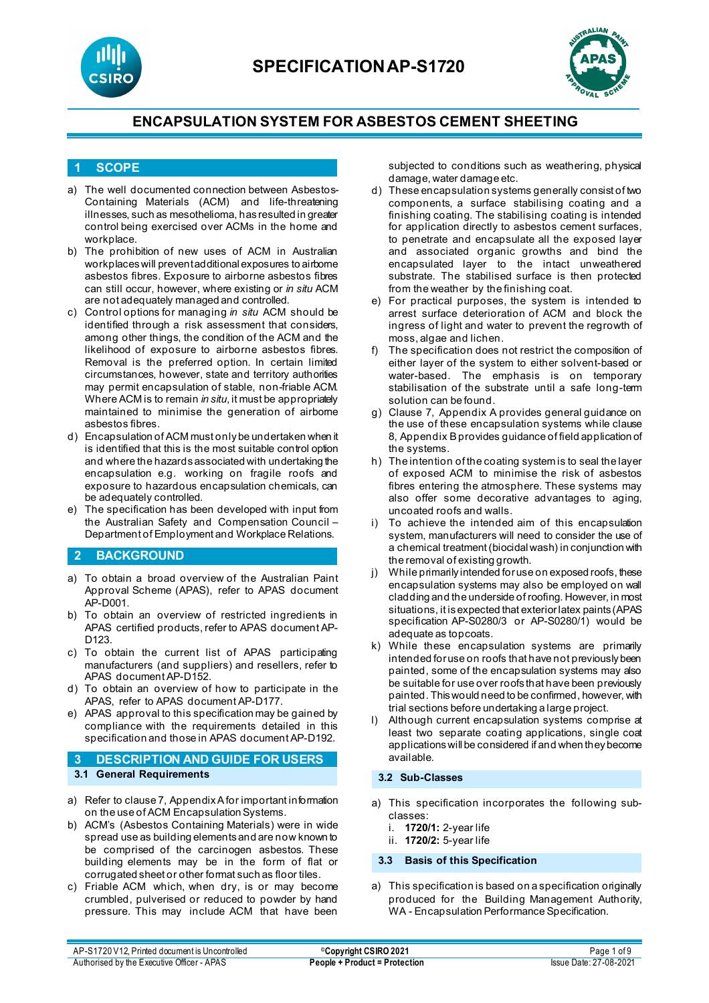



#### **1 SCOPE**

- a) The well documented connection between Asbestos-Containing Materials (ACM) and life-threatening illnesses, such as mesothelioma, has resulted in greater control being exercised over ACMs in the home and workplace.
- b) The prohibition of new uses of ACM in Australian workplaces will prevent additional exposures to airborne asbestos fibres. Exposure to airborne asbestos fibres can still occur, however, where existing or *in situ* ACM are not adequately managed and controlled.
- c) Control options for managing *in situ* ACM should be identified through a risk assessment that considers, among other things, the condition of the ACM and the likelihood of exposure to airborne asbestos fibres. Removal is the preferred option. In certain limited circumstances, however, state and territory authorities may permit encapsulation of stable, non-friable ACM. Where ACM is to remain *in situ*, it must be appropriately maintained to minimise the generation of airborne asbestos fibres.
- d) Encapsulation of ACM must only be undertaken when it is identified that this is the most suitable control option and where the hazards associated with undertaking the encapsulation e.g. working on fragile roofs and exposure to hazardous encapsulation chemicals, can be adequately controlled.
- e) The specification has been developed with input from the Australian Safety and Compensation Council – Department of Employment and Workplace Relations.

#### **2 BACKGROUND**

- a) To obtain a broad overview of the Australian Paint Approval Scheme (APAS), refer to APAS document AP-D001.
- b) To obtain an overview of restricted ingredients in APAS certified products, refer to APAS document AP-D123.
- c) To obtain the current list of APAS participating manufacturers (and suppliers) and resellers, refer to APAS document AP-D152.
- d) To obtain an overview of how to participate in the APAS, refer to APAS document AP-D177.
- e) APAS approval to this specification may be gained by compliance with the requirements detailed in this specification and those in APAS document AP-D192.
- **3 DESCRIPTION AND GUIDE FOR USERS 3.1 General Requirements**
- a) Refer to clause 7, Appendix A for important information on the use of ACM Encapsulation Systems.
- b) ACM's (Asbestos Containing Materials) were in wide spread use as building elements and are now known to be comprised of the carcinogen asbestos. These building elements may be in the form of flat or corrugated sheet or other format such as floor tiles.
- c) Friable ACM which, when dry, is or may become crumbled, pulverised or reduced to powder by hand pressure. This may include ACM that have been

subjected to conditions such as weathering, physical damage, water damage etc.

- d) These encapsulation systems generally consist of two components, a surface stabilising coating and a finishing coating. The stabilising coating is intended for application directly to asbestos cement surfaces, to penetrate and encapsulate all the exposed layer and associated organic growths and bind the encapsulated layer to the intact unweathered substrate. The stabilised surface is then protected from the weather by the finishing coat.
- e) For practical purposes, the system is intended to arrest surface deterioration of ACM and block the ingress of light and water to prevent the regrowth of moss, algae and lichen.
- f) The specification does not restrict the composition of either layer of the system to either solvent-based or water-based. The emphasis is on temporary stabilisation of the substrate until a safe long-term solution can be found.
- g) Clause 7, Appendix A provides general guidance on the use of these encapsulation systems while clause 8, Appendix B provides guidance of field application of the systems.
- h) The intention of the coating system is to seal the layer of exposed ACM to minimise the risk of asbestos fibres entering the atmosphere. These systems may also offer some decorative advantages to aging, uncoated roofs and walls.
- i) To achieve the intended aim of this encapsulation system, manufacturers will need to consider the use of a chemical treatment (biocidal wash) in conjunction with the removal of existing growth.
- j) While primarily intended for use on exposed roofs, these encapsulation systems may also be employed on wall cladding and the underside of roofing. However, in most situations, it is expected that exterior latex paints (APAS specification AP-S0280/3 or AP-S0280/1) would be adequate as topcoats.
- k) While these encapsulation systems are primarily intended for use on roofs that have not previously been painted, some of the encapsulation systems may also be suitable for use over roofs that have been previously painted. This would need to be confirmed, however, with trial sections before undertaking a large project.
- l) Although current encapsulation systems comprise at least two separate coating applications, single coat applications will be considered if and when they become available*.*

#### **3.2 Sub-Classes**

- a) This specification incorporates the following subclasses:
	- i. **1720/1:** 2-year life
	- ii. **1720/2:** 5-year life

#### **3.3 Basis of this Specification**

a) This specification is based on a specification originally produced for the Building Management Authority, WA - Encapsulation Performance Specification.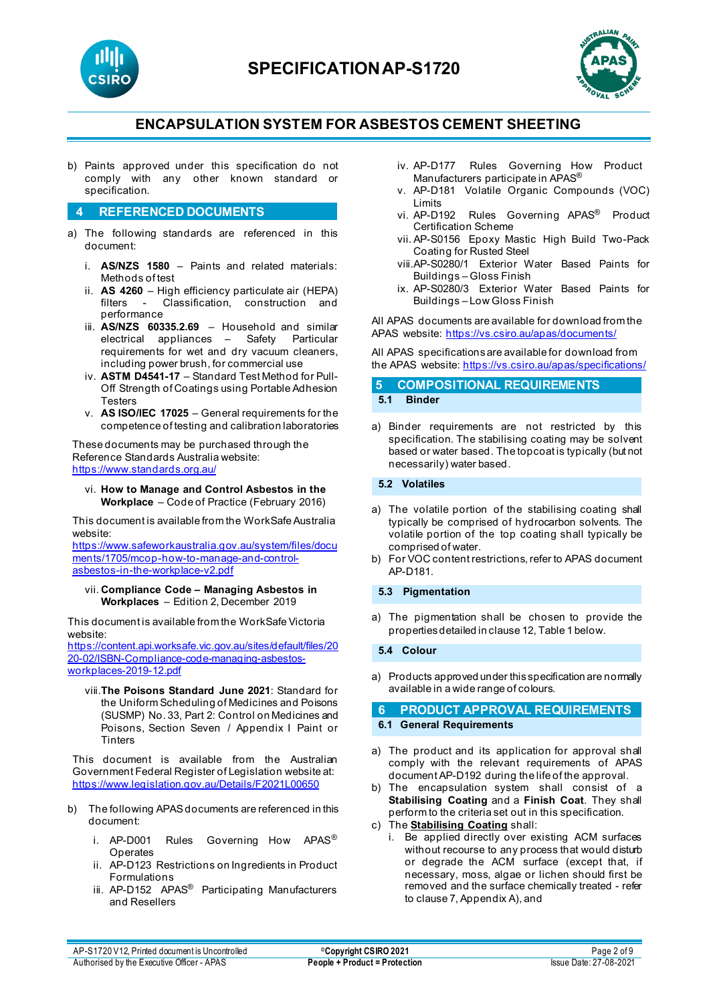



b) Paints approved under this specification do not comply with any other known standard or specification.

#### **4 REFERENCED DOCUMENTS**

- a) The following standards are referenced in this document:
	- i. **AS/NZS 1580** Paints and related materials: Methods of test
	- ii. **AS 4260**  High efficiency particulate air (HEPA) filters - Classification, construction and performance
	- iii. **AS/NZS 60335.2.69** Household and similar electrical appliances – Safety Particular requirements for wet and dry vacuum cleaners, including power brush, for commercial use
	- iv. **ASTM D4541-17** Standard Test Method for Pull-Off Strength of Coatings using Portable Adhesion **Testers**
	- v. **AS ISO/IEC 17025** General requirements for the competence of testing and calibration laboratories

These documents may be purchased through the Reference Standards Australia website: <https://www.standards.org.au/>

vi. **How to Manage and Control Asbestos in the Workplace** – Code of Practice (February 2016)

This document is available from the WorkSafe Australia website:

[https://www.safeworkaustralia.gov.au/system/files/docu](https://www.safeworkaustralia.gov.au/system/files/documents/1705/mcop-how-to-manage-and-control-asbestos-in-the-workplace-v2.pdf) [ments/1705/mcop-how-to-manage-and-control](https://www.safeworkaustralia.gov.au/system/files/documents/1705/mcop-how-to-manage-and-control-asbestos-in-the-workplace-v2.pdf)[asbestos-in-the-workplace-v2.pdf](https://www.safeworkaustralia.gov.au/system/files/documents/1705/mcop-how-to-manage-and-control-asbestos-in-the-workplace-v2.pdf)

vii. **Compliance Code – Managing Asbestos in Workplaces** – Edition 2, December 2019

This document is available from the WorkSafe Victoria website:

[https://content.api.worksafe.vic.gov.au/sites/default/files/20](https://content.api.worksafe.vic.gov.au/sites/default/files/2020-02/ISBN-Compliance-code-managing-asbestos-workplaces-2019-12.pdf) [20-02/ISBN-Compliance-code-managing-asbestos](https://content.api.worksafe.vic.gov.au/sites/default/files/2020-02/ISBN-Compliance-code-managing-asbestos-workplaces-2019-12.pdf)[workplaces-2019-12.pdf](https://content.api.worksafe.vic.gov.au/sites/default/files/2020-02/ISBN-Compliance-code-managing-asbestos-workplaces-2019-12.pdf)

viii.**The Poisons Standard June 2021**: Standard for the Uniform Scheduling of Medicines and Poisons (SUSMP) No. 33, Part 2: Control on Medicines and Poisons, Section Seven / Appendix I Paint or **Tinters** 

This document is available from the Australian Government Federal Register of Legislation website at: <https://www.legislation.gov.au/Details/F2021L00650>

- b) The following APAS documents are referenced in this document:
	- i. AP-D001 Rules Governing How APAS<sup>®</sup> **Operates**
	- ii. AP-D123 Restrictions on Ingredients in Product Formulations
	- iii. AP-D152 APAS<sup>®</sup> Participating Manufacturers and Resellers
- iv. AP-D177 Rules Governing How Product Manufacturers participate in APAS®
- v. AP-D181 Volatile Organic Compounds (VOC) Limits
- vi. AP-D192 Rules Governing APAS® Product Certification Scheme
- vii. AP-S0156 Epoxy Mastic High Build Two-Pack Coating for Rusted Steel
- viii.AP-S0280/1 Exterior Water Based Paints for Buildings – Gloss Finish
- ix. AP-S0280/3 Exterior Water Based Paints for Buildings – Low Gloss Finish

All APAS documents are available for download from the APAS website: <https://vs.csiro.au/apas/documents/>

All APAS specificationsare available for download from the APAS website: <https://vs.csiro.au/apas/specifications/>

**5 COMPOSITIONAL REQUIREMENTS 5.1 Binder**

a) Binder requirements are not restricted by this specification. The stabilising coating may be solvent based or water based. The topcoat is typically (but not necessarily) water based.

#### **5.2 Volatiles**

- a) The volatile portion of the stabilising coating shall typically be comprised of hydrocarbon solvents. The volatile portion of the top coating shall typically be comprised of water.
- b) For VOC content restrictions, refer to APAS document AP-D181.

#### **5.3 Pigmentation**

a) The pigmentation shall be chosen to provide the properties detailed in clause 12, Table 1 below.

#### **5.4 Colour**

a) Products approved under this specification are normally available in a wide range of colours.

#### **6 PRODUCT APPROVAL REQUIREMENTS 6.1 General Requirements**

- a) The product and its application for approval shall comply with the relevant requirements of APAS document AP-D192 during the life of the approval.
- b) The encapsulation system shall consist of a **Stabilising Coating** and a **Finish Coat**. They shall perform to the criteria set out in this specification.
- c) The **Stabilising Coating** shall:
	- i. Be applied directly over existing ACM surfaces without recourse to any process that would disturb or degrade the ACM surface (except that, if necessary, moss, algae or lichen should first be removed and the surface chemically treated - refer to clause 7, Appendix A), and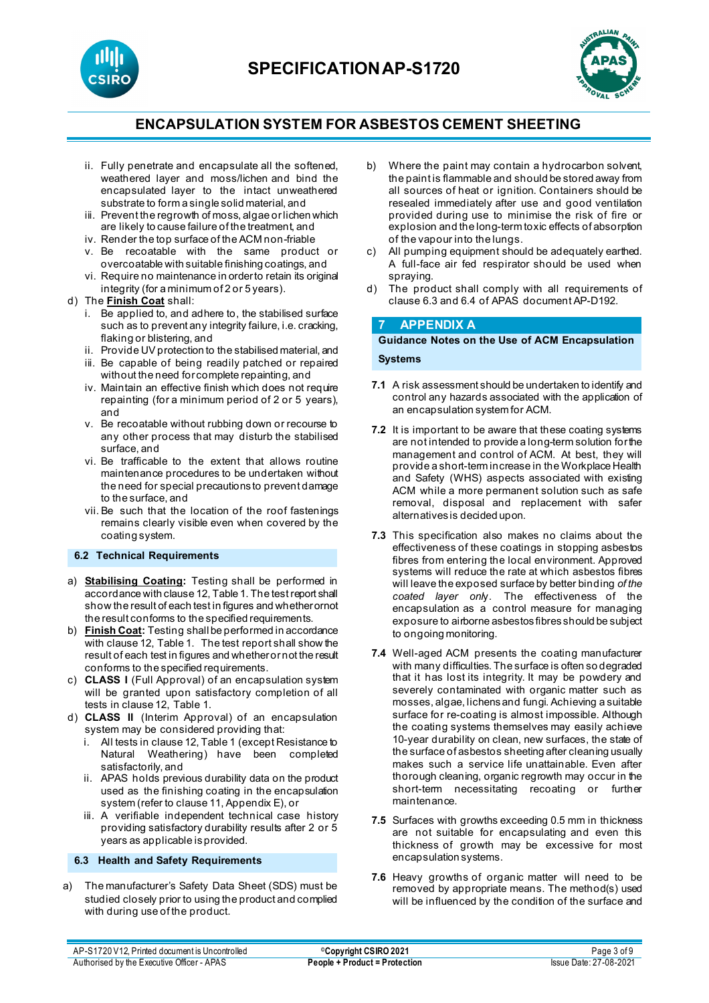



- ii. Fully penetrate and encapsulate all the softened, weathered layer and moss/lichen and bind the encapsulated layer to the intact unweathered substrate to form a single solid material, and
- iii. Prevent the regrowth of moss, algae or lichen which are likely to cause failure of the treatment, and
- iv. Render the top surface of the ACM non-friable
- v. Be recoatable with the same product or overcoatable with suitable finishing coatings, and
- vi. Require no maintenance in order to retain its original integrity (for a minimum of 2 or 5 years).
- d) The **Finish Coat** shall:
	- i. Be applied to, and adhere to, the stabilised surface such as to prevent any integrity failure, i.e. cracking, flaking or blistering, and
	- ii. Provide UV protection to the stabilised material, and
	- iii. Be capable of being readily patched or repaired without the need for complete repainting, and
	- iv. Maintain an effective finish which does not require repainting (for a minimum period of 2 or 5 years), and
	- v. Be recoatable without rubbing down or recourse to any other process that may disturb the stabilised surface, and
	- vi. Be trafficable to the extent that allows routine maintenance procedures to be undertaken without the need for special precautions to prevent damage to the surface, and
	- vii. Be such that the location of the roof fastenings remains clearly visible even when covered by the coating system.

#### **6.2 Technical Requirements**

- a) **Stabilising Coating:** Testing shall be performed in accordance with clause 12, Table 1. The test report shall show the result of each test in figures and whether ornot the result conforms to the specified requirements.
- b) **Finish Coat:** Testing shall be performed in accordance with clause 12, Table 1. The test report shall show the result of each test in figures and whether or not the result conforms to the specified requirements.
- c) **CLASS I** (Full Approval) of an encapsulation system will be granted upon satisfactory completion of all tests in clause 12, Table 1.
- d) **CLASS II** (Interim Approval) of an encapsulation system may be considered providing that:
	- i. All tests in clause 12, Table 1 (except Resistance to Natural Weathering) have been completed satisfactorily, and
	- ii. APAS holds previous durability data on the product used as the finishing coating in the encapsulation system (refer to clause 11, Appendix E), or
	- iii. A verifiable independent technical case history providing satisfactory durability results after 2 or 5 years as applicable is provided.

#### **6.3 Health and Safety Requirements**

a) The manufacturer's Safety Data Sheet (SDS) must be studied closely prior to using the product and complied with during use of the product.

- b) Where the paint may contain a hydrocarbon solvent, the paint is flammable and should be stored away from all sources of heat or ignition. Containers should be resealed immediately after use and good ventilation provided during use to minimise the risk of fire or explosion and the long-term toxic effects of absorption of the vapour into the lungs.
- c) All pumping equipment should be adequately earthed. A full-face air fed respirator should be used when spraying.
- d) The product shall comply with all requirements of clause 6.3 and 6.4 of APAS document AP-D192.

#### **7 APPENDIX A**

### **Guidance Notes on the Use of ACM Encapsulation**

#### **Systems**

- **7.1** A risk assessment should be undertaken to identify and control any hazards associated with the application of an encapsulation system for ACM.
- **7.2** It is important to be aware that these coating systems are not intended to provide a long-term solution for the management and control of ACM. At best, they will provide a short-term increase in the Workplace Health and Safety (WHS) aspects associated with existing ACM while a more permanent solution such as safe removal, disposal and replacement with safer alternatives is decided upon.
- **7.3** This specification also makes no claims about the effectiveness of these coatings in stopping asbestos fibres from entering the local environment. Approved systems will reduce the rate at which asbestos fibres will leave the exposed surface by better binding *of the coated layer onl*y. The effectiveness of the encapsulation as a control measure for managing exposure to airborne asbestos fibres should be subject to ongoing monitoring.
- **7.4** Well-aged ACM presents the coating manufacturer with many difficulties. The surface is often so degraded that it has lost its integrity. It may be powdery and severely contaminated with organic matter such as mosses, algae, lichens and fungi. Achieving a suitable surface for re-coating is almost impossible. Although the coating systems themselves may easily achieve 10-year durability on clean, new surfaces, the state of the surface of asbestos sheeting after cleaning usually makes such a service life unattainable. Even after thorough cleaning, organic regrowth may occur in the short-term necessitating recoating or further maintenance.
- **7.5** Surfaces with growths exceeding 0.5 mm in thickness are not suitable for encapsulating and even this thickness of growth may be excessive for most encapsulation systems.
- **7.6** Heavy growths of organic matter will need to be removed by appropriate means. The method(s) used will be influenced by the condition of the surface and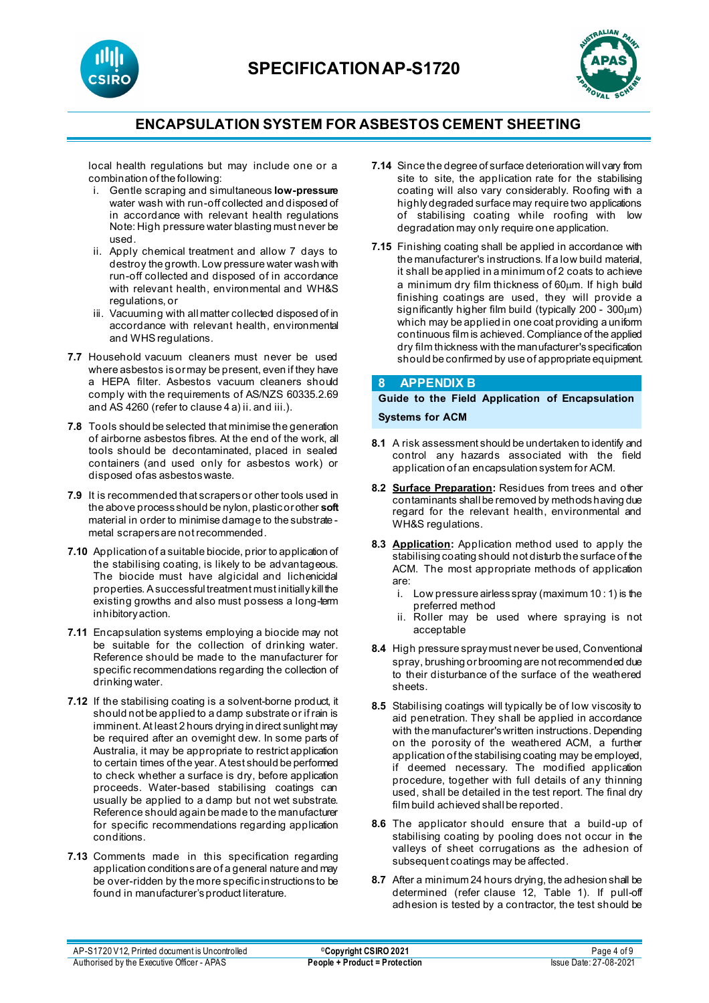



local health regulations but may include one or a combination of the following:

- i. Gentle scraping and simultaneous **low-pressure** water wash with run-off collected and disposed of in accordance with relevant health regulations Note: High pressure water blasting must never be used.
- ii. Apply chemical treatment and allow 7 days to destroy the growth. Low pressure water wash with run-off collected and disposed of in accordance with relevant health, environmental and WH&S regulations, or
- iii. Vacuuming with all matter collected disposed of in accordance with relevant health, environmental and WHSregulations.
- **7.7** Household vacuum cleaners must never be used where asbestos is or may be present, even if they have a HEPA filter. Asbestos vacuum cleaners should comply with the requirements of AS/NZS 60335.2.69 and AS 4260 (refer to clause 4 a) ii. and iii.).
- **7.8** Tools should be selected that minimise the generation of airborne asbestos fibres. At the end of the work, all tools should be decontaminated, placed in sealed containers (and used only for asbestos work) or disposed of as asbestos waste.
- **7.9** It is recommended that scrapers or other tools used in the above process should be nylon, plastic or other **soft** material in order to minimise damage to the substrate metal scrapers are not recommended.
- **7.10** Application of a suitable biocide, prior to application of the stabilising coating, is likely to be advantageous. The biocide must have algicidal and lichenicidal properties. A successful treatment must initially kill the existing growths and also must possess a long-term inhibitory action.
- **7.11** Encapsulation systems employing a biocide may not be suitable for the collection of drinking water. Reference should be made to the manufacturer for specific recommendations regarding the collection of drinking water.
- **7.12** If the stabilising coating is a solvent-borne product, it should not be applied to a damp substrate or if rain is imminent. At least 2 hours drying in direct sunlight may be required after an overnight dew. In some parts of Australia, it may be appropriate to restrict application to certain times of the year. A test should be performed to check whether a surface is dry, before application proceeds. Water-based stabilising coatings can usually be applied to a damp but not wet substrate. Reference should again be made to the manufacturer for specific recommendations regarding application conditions.
- **7.13** Comments made in this specification regarding application conditions are of a general nature and may be over-ridden by the more specific instructions to be found in manufacturer's product literature.
- **7.14** Since the degree of surface deterioration will vary from site to site, the application rate for the stabilising coating will also vary considerably. Roofing with a highly degraded surface may require two applications of stabilising coating while roofing with low degradation may only require one application.
- **7.15** Finishing coating shall be applied in accordance with the manufacturer's instructions. If a low build material, it shall be applied in a minimum of 2 coats to achieve a minimum dry film thickness of 60µm. If high build finishing coatings are used, they will provide a significantly higher film build (typically 200 - 300µm) which may be applied in one coat providing a uniform continuous film is achieved. Compliance of the applied dry film thickness with the manufacturer's specification should be confirmed by use of appropriate equipment.

#### **8 APPENDIX B**

# **Guide to the Field Application of Encapsulation**

**Systems for ACM**

- **8.1** A risk assessment should be undertaken to identify and control any hazards associated with the field application of an encapsulation system for ACM.
- **8.2 Surface Preparation:** Residues from trees and other contaminants shall be removed by methods having due regard for the relevant health, environmental and WH&S regulations.
- **8.3 Application:** Application method used to apply the stabilising coating should not disturb the surface of the ACM. The most appropriate methods of application are:
	- i. Low pressure airless spray (maximum 10 : 1) is the preferred method
	- ii. Roller may be used where spraying is not acceptable
- **8.4** High pressure spray must never be used, Conventional spray, brushing or brooming are not recommended due to their disturbance of the surface of the weathered sheets.
- **8.5** Stabilising coatings will typically be of low viscosity to aid penetration. They shall be applied in accordance with the manufacturer's written instructions. Depending on the porosity of the weathered ACM, a further application of the stabilising coating may be employed, if deemed necessary. The modified application procedure, together with full details of any thinning used, shall be detailed in the test report. The final dry film build achieved shall be reported.
- **8.6** The applicator should ensure that a build-up of stabilising coating by pooling does not occur in the valleys of sheet corrugations as the adhesion of subsequent coatings may be affected.
- **8.7** After a minimum 24 hours drying, the adhesion shall be determined (refer clause 12, Table 1). If pull-off adhesion is tested by a contractor, the test should be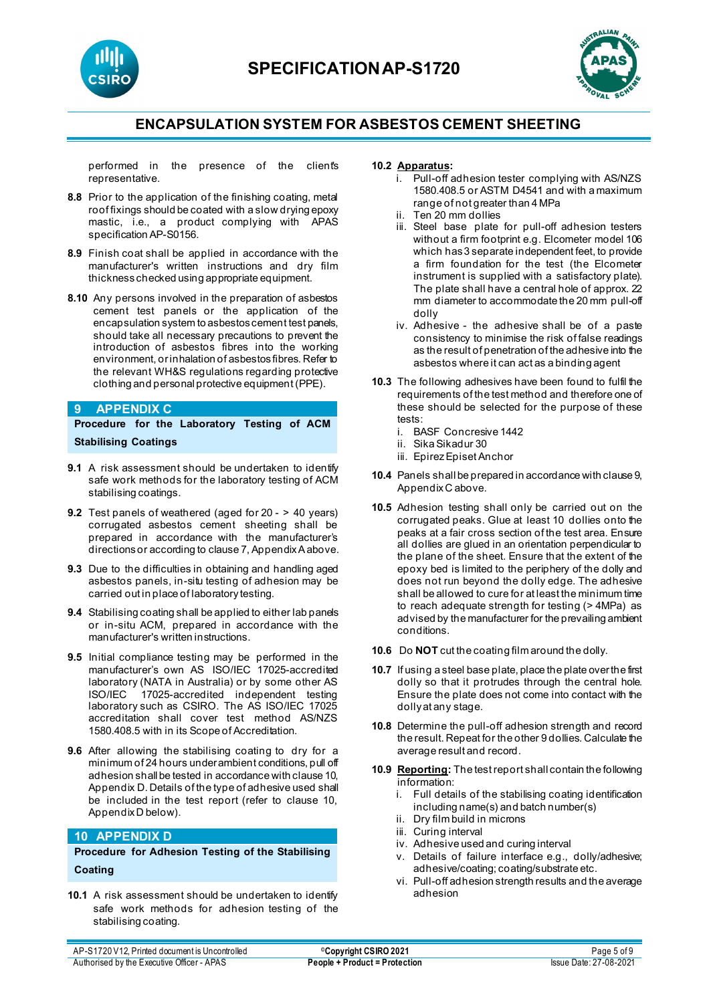



performed in the presence of the client's representative.

- **8.8** Prior to the application of the finishing coating, metal roof fixings should be coated with a slow drying epoxy mastic, i.e., a product complying with APAS specification AP-S0156.
- **8.9** Finish coat shall be applied in accordance with the manufacturer's written instructions and dry film thickness checked using appropriate equipment.
- **8.10** Any persons involved in the preparation of asbestos cement test panels or the application of the encapsulation system to asbestos cement test panels, should take all necessary precautions to prevent the introduction of asbestos fibres into the working environment, or inhalation of asbestos fibres. Refer to the relevant WH&S regulations regarding protective clothing and personal protective equipment (PPE).

#### **9 APPENDIX C**

**Procedure for the Laboratory Testing of ACM Stabilising Coatings**

- **9.1** A risk assessment should be undertaken to identify safe work methods for the laboratory testing of ACM stabilising coatings.
- **9.2** Test panels of weathered (aged for 20 > 40 years) corrugated asbestos cement sheeting shall be prepared in accordance with the manufacturer's directions or according to clause 7, Appendix A above.
- **9.3** Due to the difficulties in obtaining and handling aged asbestos panels, in-situ testing of adhesion may be carried out in place of laboratory testing.
- **9.4** Stabilising coating shall be applied to either lab panels or in-situ ACM, prepared in accordance with the manufacturer's written instructions.
- **9.5** Initial compliance testing may be performed in the manufacturer's own AS ISO/IEC 17025-accredited laboratory (NATA in Australia) or by some other AS ISO/IEC 17025-accredited independent testing laboratory such as CSIRO. The AS ISO/IEC 17025 accreditation shall cover test method AS/NZS 1580.408.5 with in its Scope of Accreditation.
- **9.6** After allowing the stabilising coating to dry for a minimum of 24 hours under ambient conditions, pull off adhesion shall be tested in accordance with clause 10, Appendix D. Details of the type of adhesive used shall be included in the test report (refer to clause 10, Appendix D below).

#### **10 APPENDIX D**

**Procedure for Adhesion Testing of the Stabilising Coating**

**10.1** A risk assessment should be undertaken to identify safe work methods for adhesion testing of the stabilising coating.

#### **10.2 Apparatus:**

- i. Pull-off adhesion tester complying with AS/NZS 1580.408.5 or ASTM D4541 and with a maximum range of not greater than 4 MPa
- ii. Ten 20 mm dollies
- iii. Steel base plate for pull-off adhesion testers without a firm footprint e.g. Elcometer model 106 which has 3 separate independent feet, to provide a firm foundation for the test (the Elcometer instrument is supplied with a satisfactory plate). The plate shall have a central hole of approx. 22 mm diameter to accommodate the 20 mm pull-off dolly
- iv. Adhesive the adhesive shall be of a paste consistency to minimise the risk of false readings as the result of penetration of the adhesive into the asbestos where it can act as a binding agent
- **10.3** The following adhesives have been found to fulfil the requirements of the test method and therefore one of these should be selected for the purpose of these tests:
	- i. BASF Concresive 1442
	- ii. Sika Sikadur 30
	- iii. Epirez Episet Anchor
- **10.4** Panels shall be prepared in accordance with clause 9, Appendix C above.
- **10.5** Adhesion testing shall only be carried out on the corrugated peaks. Glue at least 10 dollies onto the peaks at a fair cross section of the test area. Ensure all dollies are glued in an orientation perpendicular to the plane of the sheet. Ensure that the extent of the epoxy bed is limited to the periphery of the dolly and does not run beyond the dolly edge. The adhesive shall be allowed to cure for at least the minimum time to reach adequate strength for testing (> 4MPa) as advised by the manufacturer for the prevailing ambient conditions.
- **10.6** Do **NOT** cut the coating film around the dolly.
- **10.7** If using a steel base plate, place the plate over the first dolly so that it protrudes through the central hole. Ensure the plate does not come into contact with the dolly at any stage.
- **10.8** Determine the pull-off adhesion strength and record the result. Repeat for the other 9 dollies. Calculate the average result and record.
- **10.9 Reporting:** The test report shall contain the following information:
	- i. Full details of the stabilising coating identification including name(s) and batch number(s)
	- ii. Dry film build in microns
	- iii. Curing interval
	- iv. Adhesive used and curing interval
	- v. Details of failure interface e.g., dolly/adhesive; adhesive/coating; coating/substrate etc.
	- vi. Pull-off adhesion strength results and the average adhesion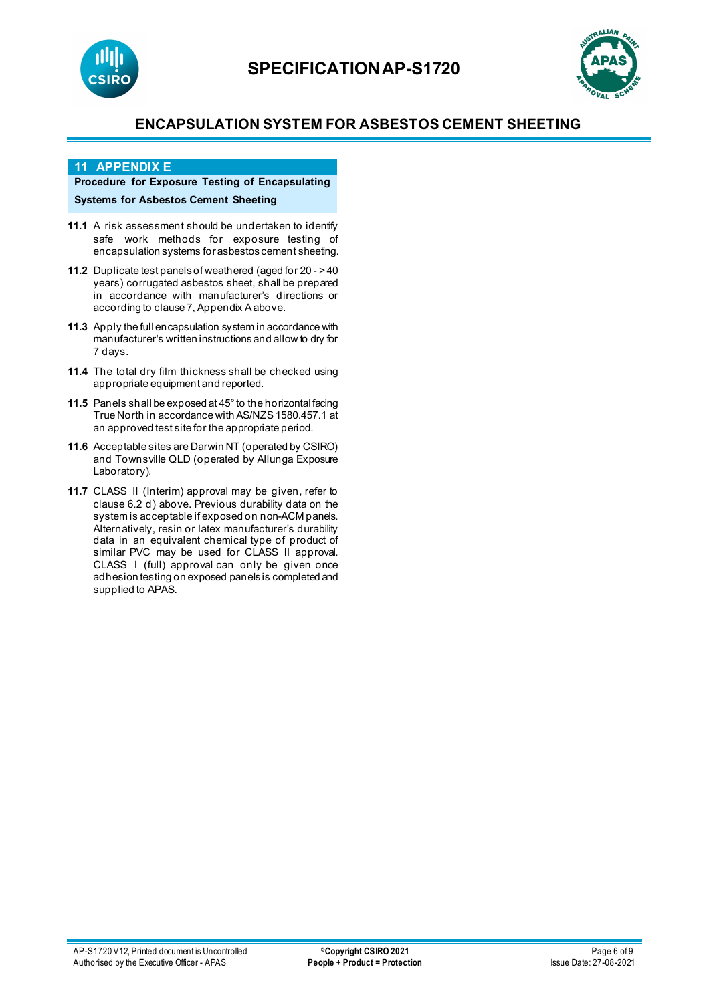



#### **11 APPENDIX E**

# **Procedure for Exposure Testing of Encapsulating**

**Systems for Asbestos Cement Sheeting**

- **11.1** A risk assessment should be undertaken to identify safe work methods for exposure testing of encapsulation systems for asbestos cement sheeting.
- **11.2** Duplicate test panels of weathered (aged for 20 >40 years) corrugated asbestos sheet, shall be prepared in accordance with manufacturer's directions or according to clause 7, Appendix Aabove.
- **11.3** Apply the full encapsulation system in accordance with manufacturer's written instructions and allow to dry for 7 days.
- **11.4** The total dry film thickness shall be checked using appropriate equipment and reported.
- **11.5** Panels shall be exposed at 45° to the horizontal facing True North in accordance with AS/NZS 1580.457.1 at an approved test site for the appropriate period.
- **11.6** Acceptable sites are Darwin NT (operated by CSIRO) and Townsville QLD (operated by Allunga Exposure Laboratory).
- **11.7** CLASS II (Interim) approval may be given, refer to clause 6.2 d) above. Previous durability data on the system is acceptable if exposed on non-ACM panels. Alternatively, resin or latex manufacturer's durability data in an equivalent chemical type of product of similar PVC may be used for CLASS II approval. CLASS I (full) approval can only be given once adhesion testing on exposed panels is completed and supplied to APAS.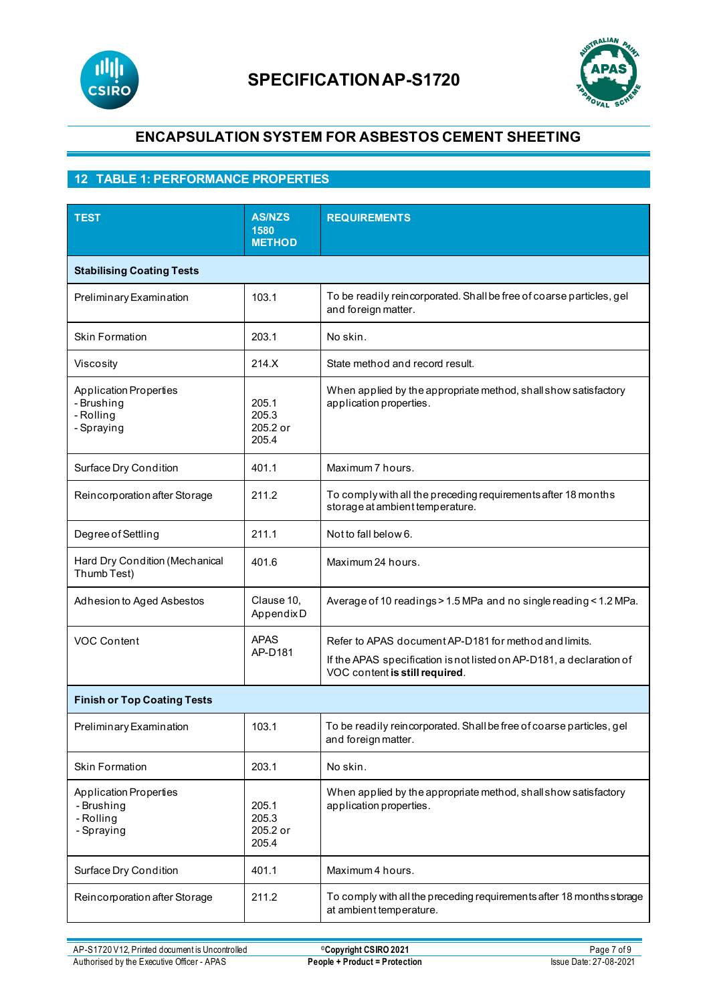



# **12 TABLE 1: PERFORMANCE PROPERTIES**

| <b>TEST</b>                                                            | <b>AS/NZS</b><br>1580<br><b>METHOD</b> | <b>REQUIREMENTS</b>                                                                                                                                             |  |  |
|------------------------------------------------------------------------|----------------------------------------|-----------------------------------------------------------------------------------------------------------------------------------------------------------------|--|--|
| <b>Stabilising Coating Tests</b>                                       |                                        |                                                                                                                                                                 |  |  |
| Preliminary Examination                                                | 103.1                                  | To be readily reincorporated. Shall be free of coarse particles, gel<br>and foreign matter.                                                                     |  |  |
| <b>Skin Formation</b>                                                  | 203.1                                  | No skin.                                                                                                                                                        |  |  |
| Viscosity                                                              | 214.X                                  | State method and record result.                                                                                                                                 |  |  |
| <b>Application Properties</b><br>- Brushing<br>- Rolling<br>- Spraying | 205.1<br>205.3<br>205.2 or<br>205.4    | When applied by the appropriate method, shall show satisfactory<br>application properties.                                                                      |  |  |
| Surface Dry Condition                                                  | 401.1                                  | Maximum 7 hours.                                                                                                                                                |  |  |
| Reincorporation after Storage                                          | 211.2                                  | To comply with all the preceding requirements after 18 months<br>storage at ambient temperature.                                                                |  |  |
| Degree of Settling                                                     | 211.1                                  | Not to fall below 6.                                                                                                                                            |  |  |
| Hard Dry Condition (Mechanical<br>Thumb Test)                          | 401.6                                  | Maximum 24 hours.                                                                                                                                               |  |  |
| Adhesion to Aged Asbestos                                              | Clause 10,<br>AppendixD                | Average of 10 readings > 1.5 MPa and no single reading < 1.2 MPa.                                                                                               |  |  |
| <b>VOC Content</b>                                                     | <b>APAS</b><br>AP-D181                 | Refer to APAS document AP-D181 for method and limits.<br>If the APAS specification is not listed on AP-D181, a declaration of<br>VOC content is still required. |  |  |
| <b>Finish or Top Coating Tests</b>                                     |                                        |                                                                                                                                                                 |  |  |
| Preliminary Examination                                                | 103.1                                  | To be readily reincorporated. Shall be free of coarse particles, gel<br>and foreign matter.                                                                     |  |  |
| <b>Skin Formation</b>                                                  | 203.1                                  | No skin.                                                                                                                                                        |  |  |
| <b>Application Properties</b><br>- Brushing<br>- Rolling<br>- Spraying | 205.1<br>205.3<br>205.2 or<br>205.4    | When applied by the appropriate method, shall show satisfactory<br>application properties.                                                                      |  |  |
| Surface Dry Condition                                                  | 401.1                                  | Maximum 4 hours.                                                                                                                                                |  |  |
| Reincorporation after Storage                                          | 211.2                                  | To comply with all the preceding requirements after 18 months storage<br>at ambient temperature.                                                                |  |  |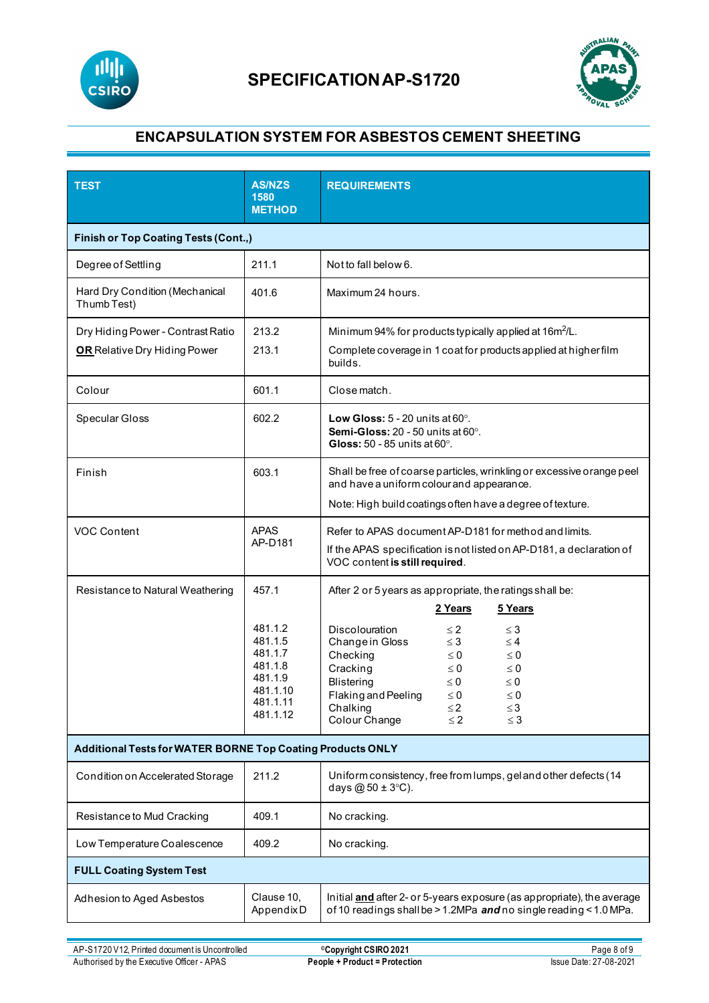



| <b>TEST</b>                                                              | <b>AS/NZS</b><br>1580<br><b>METHOD</b>                                                           | <b>REQUIREMENTS</b>                                                                                                                                                                                                                                                                                                                                                                                                  |  |  |
|--------------------------------------------------------------------------|--------------------------------------------------------------------------------------------------|----------------------------------------------------------------------------------------------------------------------------------------------------------------------------------------------------------------------------------------------------------------------------------------------------------------------------------------------------------------------------------------------------------------------|--|--|
| <b>Finish or Top Coating Tests (Cont.,)</b>                              |                                                                                                  |                                                                                                                                                                                                                                                                                                                                                                                                                      |  |  |
| Degree of Settling                                                       | 211.1                                                                                            | Not to fall below 6.                                                                                                                                                                                                                                                                                                                                                                                                 |  |  |
| Hard Dry Condition (Mechanical<br>Thumb Test)                            | 401.6                                                                                            | Maximum 24 hours.                                                                                                                                                                                                                                                                                                                                                                                                    |  |  |
| Dry Hiding Power - Contrast Ratio<br><b>OR</b> Relative Dry Hiding Power | 213.2<br>213.1                                                                                   | Minimum 94% for products typically applied at 16m <sup>2</sup> /L.<br>Complete coverage in 1 coat for products applied at higher film<br>builds.                                                                                                                                                                                                                                                                     |  |  |
| Colour                                                                   | 601.1                                                                                            | Close match.                                                                                                                                                                                                                                                                                                                                                                                                         |  |  |
| Specular Gloss                                                           | 602.2                                                                                            | Low Gloss: $5 - 20$ units at $60^\circ$ .<br>Semi-Gloss: 20 - 50 units at 60°.<br>Gloss: $50 - 85$ units at $60^\circ$ .                                                                                                                                                                                                                                                                                             |  |  |
| Finish                                                                   | 603.1                                                                                            | Shall be free of coarse particles, wrinkling or excessive orange peel<br>and have a uniform colour and appearance.<br>Note: High build coatings often have a degree of texture.                                                                                                                                                                                                                                      |  |  |
| VOC Content                                                              | <b>APAS</b><br>AP-D181                                                                           | Refer to APAS document AP-D181 for method and limits.<br>If the APAS specification is not listed on AP-D181, a declaration of<br>VOC content is still required.                                                                                                                                                                                                                                                      |  |  |
| Resistance to Natural Weathering                                         | 457.1<br>481.1.2<br>481.1.5<br>481.1.7<br>481.1.8<br>481.1.9<br>481.1.10<br>481.1.11<br>481.1.12 | After 2 or 5 years as appropriate, the ratings shall be:<br>2 Years<br>5 Years<br>Discolouration<br>$\leq 2$<br>$\leq$ 3<br>Change in Gloss<br>$\leq 3$<br>$\leq 4$<br>Checking<br>$\leq 0$<br>$\leq 0$<br>Cracking<br>$\leq 0$<br>$\leq 0$<br><b>Blistering</b><br>$\leq 0$<br>$\leq 0$<br>Flaking and Peeling<br>$\leq 0$<br>$\leq 0$<br>Chalking<br>$\leq$ 2<br>$\leq$ 3<br>Colour Change<br>$\leq 2$<br>$\leq$ 3 |  |  |
| Additional Tests for WATER BORNE Top Coating Products ONLY               |                                                                                                  |                                                                                                                                                                                                                                                                                                                                                                                                                      |  |  |
| Condition on Accelerated Storage                                         | 211.2                                                                                            | Uniform consistency, free from lumps, gel and other defects (14<br>days $@50 \pm 3°C$ ).                                                                                                                                                                                                                                                                                                                             |  |  |
| Resistance to Mud Cracking                                               | 409.1                                                                                            | No cracking.                                                                                                                                                                                                                                                                                                                                                                                                         |  |  |
| Low Temperature Coalescence                                              | 409.2                                                                                            | No cracking.                                                                                                                                                                                                                                                                                                                                                                                                         |  |  |
| <b>FULL Coating System Test</b>                                          |                                                                                                  |                                                                                                                                                                                                                                                                                                                                                                                                                      |  |  |
| Adhesion to Aged Asbestos                                                | Clause 10,<br>AppendixD                                                                          | Initial and after 2- or 5-years exposure (as appropriate), the average<br>of 10 readings shall be > 1.2MPa and no single reading < 1.0 MPa.                                                                                                                                                                                                                                                                          |  |  |